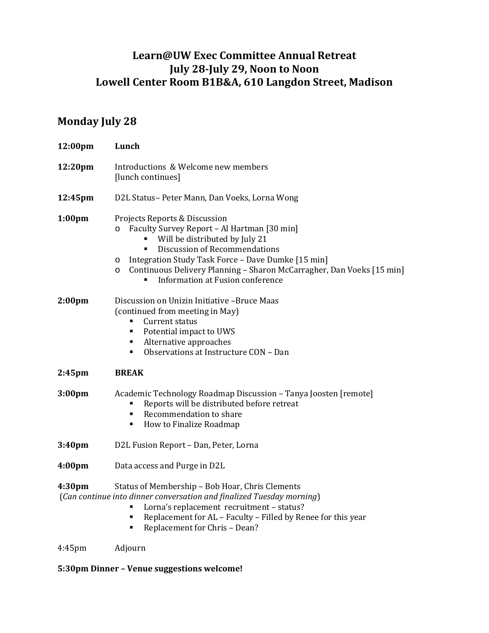## **Learn@UW Exec Committee Annual Retreat July 28-July 29, Noon to Noon Lowell Center Room B1B&A, 610 Langdon Street, Madison**

## **Monday July 28**

| 12:00pm            | Lunch                                                                                                                                                                                                                                                                                                                                        |
|--------------------|----------------------------------------------------------------------------------------------------------------------------------------------------------------------------------------------------------------------------------------------------------------------------------------------------------------------------------------------|
| 12:20pm            | Introductions & Welcome new members<br>[lunch continues]                                                                                                                                                                                                                                                                                     |
| 12:45pm            | D2L Status- Peter Mann, Dan Voeks, Lorna Wong                                                                                                                                                                                                                                                                                                |
| 1:00 <sub>pm</sub> | Projects Reports & Discussion<br>Faculty Survey Report - Al Hartman [30 min]<br>$\circ$<br>Will be distributed by July 21<br>Discussion of Recommendations<br>Integration Study Task Force - Dave Dumke [15 min]<br>O<br>Continuous Delivery Planning - Sharon McCarragher, Dan Voeks [15 min]<br>O<br>Information at Fusion conference<br>٠ |
| 2:00 <sub>pm</sub> | Discussion on Unizin Initiative -Bruce Maas<br>(continued from meeting in May)<br>Current status<br>Potential impact to UWS<br>٠<br>Alternative approaches<br>$\blacksquare$<br>Observations at Instructure CON - Dan<br>٠                                                                                                                   |
| 2:45 <sub>pm</sub> | <b>BREAK</b>                                                                                                                                                                                                                                                                                                                                 |
| 3:00 <sub>pm</sub> | Academic Technology Roadmap Discussion - Tanya Joosten [remote]<br>Reports will be distributed before retreat<br>٠<br>Recommendation to share<br>$\blacksquare$<br>How to Finalize Roadmap<br>٠                                                                                                                                              |
| 3:40 <sub>pm</sub> | D2L Fusion Report - Dan, Peter, Lorna                                                                                                                                                                                                                                                                                                        |
| 4:00 <sub>pm</sub> | Data access and Purge in D2L                                                                                                                                                                                                                                                                                                                 |
| 4:30 <sub>pm</sub> | Status of Membership - Bob Hoar, Chris Clements<br>(Can continue into dinner conversation and finalized Tuesday morning)<br>Lorna's replacement recruitment - status?<br>Replacement for AL - Faculty - Filled by Renee for this year<br>٠<br>Replacement for Chris - Dean?<br>٠                                                             |
| $4:45$ pm          | Adjourn                                                                                                                                                                                                                                                                                                                                      |

## **5:30pm Dinner – Venue suggestions welcome!**